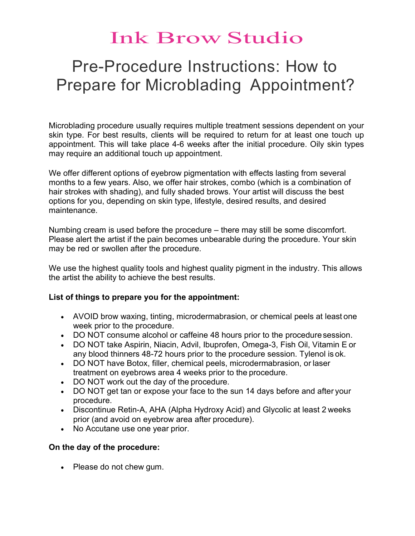## Ink Brow Studio

### Pre-Procedure Instructions: How to Prepare for Microblading Appointment?

Microblading procedure usually requires multiple treatment sessions dependent on your skin type. For best results, clients will be required to return for at least one touch up appointment. This will take place 4-6 weeks after the initial procedure. Oily skin types may require an additional touch up appointment.

We offer different options of eyebrow pigmentation with effects lasting from several months to a few years. Also, we offer hair strokes, combo (which is a combination of hair strokes with shading), and fully shaded brows. Your artist will discuss the best options for you, depending on skin type, lifestyle, desired results, and desired maintenance.

Numbing cream is used before the procedure – there may still be some discomfort. Please alert the artist if the pain becomes unbearable during the procedure. Your skin may be red or swollen after the procedure.

We use the highest quality tools and highest quality pigment in the industry. This allows the artist the ability to achieve the best results.

#### List of things to prepare you for the appointment:

- AVOID brow waxing, tinting, microdermabrasion, or chemical peels at least one week prior to the procedure.
- DO NOT consume alcohol or caffeine 48 hours prior to the procedure session.
- DO NOT take Aspirin, Niacin, Advil, Ibuprofen, Omega-3, Fish Oil, Vitamin E or any blood thinners 48-72 hours prior to the procedure session. Tylenol is ok.
- DO NOT have Botox, filler, chemical peels, microdermabrasion, or laser treatment on eyebrows area 4 weeks prior to the procedure.
- DO NOT work out the day of the procedure.
- DO NOT get tan or expose your face to the sun 14 days before and after your procedure.
- Discontinue Retin-A, AHA (Alpha Hydroxy Acid) and Glycolic at least 2 weeks prior (and avoid on eyebrow area after procedure).
- No Accutane use one year prior.

#### On the day of the procedure:

• Please do not chew gum.